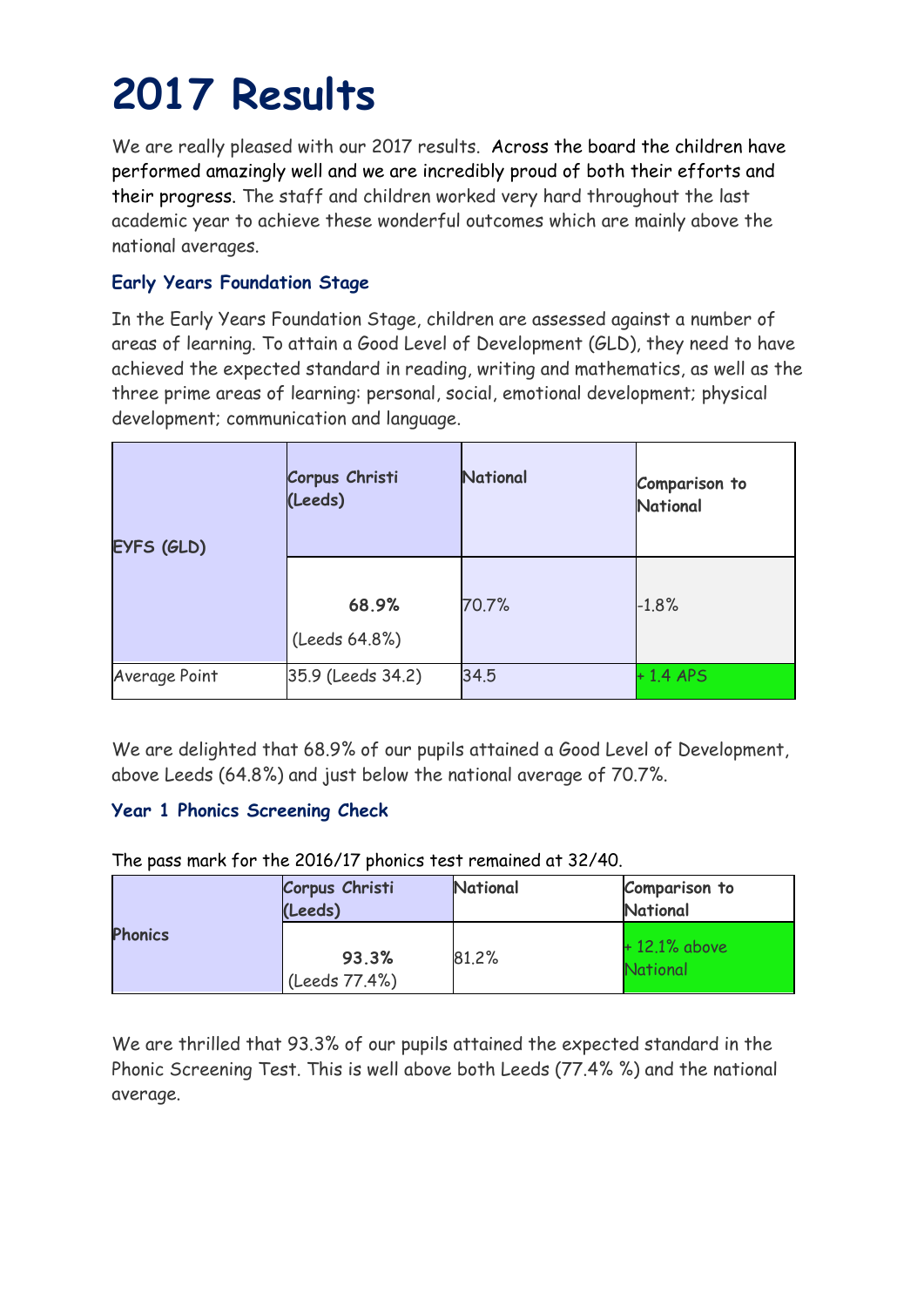# **2017 Results**

We are really pleased with our 2017 results. Across the board the children have performed amazingly well and we are incredibly proud of both their efforts and their progress. The staff and children worked very hard throughout the last academic year to achieve these wonderful outcomes which are mainly above the national averages.

### **Early Years Foundation Stage**

In the Early Years Foundation Stage, children are assessed against a number of areas of learning. To attain a Good Level of Development (GLD), they need to have achieved the expected standard in reading, writing and mathematics, as well as the three prime areas of learning: personal, social, emotional development; physical development; communication and language.

| EYFS (GLD)    | Corpus Christi<br>(Leeds) | National | Comparison to<br>National |
|---------------|---------------------------|----------|---------------------------|
|               | 68.9%<br>(Leeds 64.8%)    | 70.7%    | $-1.8%$                   |
| Average Point | 35.9 (Leeds 34.2)         | 34.5     | $+1.4$ APS                |

We are delighted that 68.9% of our pupils attained a Good Level of Development, above Leeds (64.8%) and just below the national average of 70.7%.

### **Year 1 Phonics Screening Check**

The pass mark for the 2016/17 phonics test remained at 32/40.

| <b>Phonics</b> | Corpus Christi<br>(Leeds) | National | <b>Comparison to</b><br><b>National</b> |
|----------------|---------------------------|----------|-----------------------------------------|
|                | 93.3%<br>(Leeds 77.4%)    | 81.2%    | $+12.1\%$ above<br><b>National</b>      |

We are thrilled that 93.3% of our pupils attained the expected standard in the Phonic Screening Test. This is well above both Leeds (77.4% %) and the national average.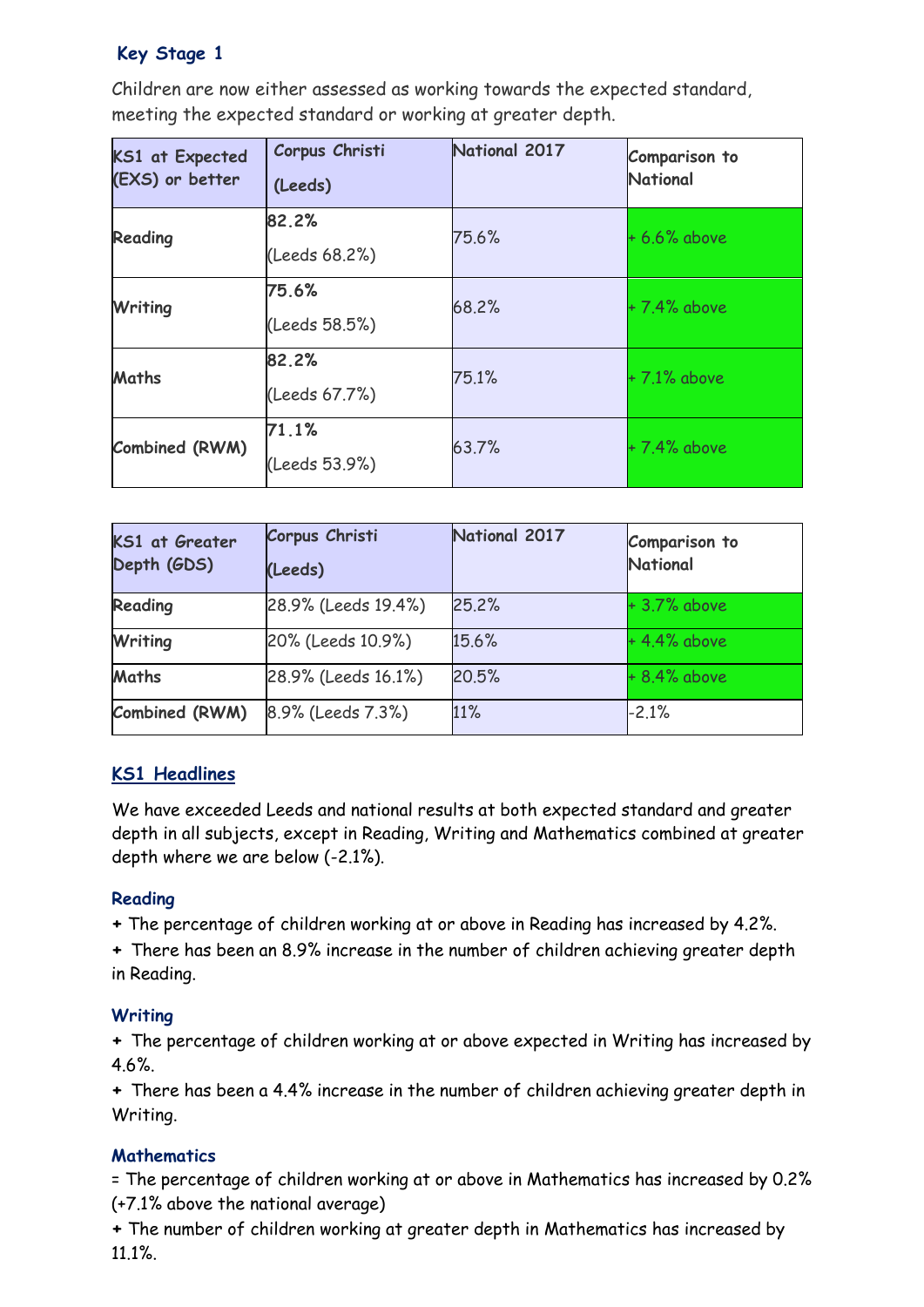### **Key Stage 1**

Children are now either assessed as working towards the expected standard, meeting the expected standard or working at greater depth.

| <b>KS1 at Expected</b><br>(EXS) or better | Corpus Christi<br>(Leeds) | National 2017 | Comparison to<br><b>National</b> |
|-------------------------------------------|---------------------------|---------------|----------------------------------|
| Reading                                   | 82.2%<br>(Leeds 68.2%)    | 75.6%         | $+6.6%$ above                    |
| Writing                                   | 75.6%<br>(Leeds 58.5%)    | 68.2%         | +7.4% above                      |
| <b>Maths</b>                              | 82.2%<br>(Leeds 67.7%)    | 75.1%         | $+7.1\%$ above                   |
| Combined (RWM)                            | 71.1%<br>(Leeds 53.9%)    | 63.7%         | $+7.4%$ above                    |

| <b>KS1 at Greater</b><br>Depth (GDS) | Corpus Christi<br>(Leeds) | National 2017 | Comparison to<br>National |
|--------------------------------------|---------------------------|---------------|---------------------------|
| Reading                              | 28.9% (Leeds 19.4%)       | 25.2%         | $+3.7%$ above             |
| <b>Writing</b>                       | 20% (Leeds 10.9%)         | 15.6%         | $+4.4%$ above             |
| <b>Maths</b>                         | 28.9% (Leeds 16.1%)       | 20.5%         | $+8.4%$ above             |
| Combined (RWM)                       | 8.9% (Leeds 7.3%)         | 11%           | $-2.1%$                   |

### **KS1 Headlines**

We have exceeded Leeds and national results at both expected standard and greater depth in all subjects, except in Reading, Writing and Mathematics combined at greater depth where we are below (-2.1%).

### **Reading**

**+** The percentage of children working at or above in Reading has increased by 4.2%.

**+** There has been an 8.9% increase in the number of children achieving greater depth in Reading.

### **Writing**

**+** The percentage of children working at or above expected in Writing has increased by 4.6%.

**+** There has been a 4.4% increase in the number of children achieving greater depth in Writing.

### **Mathematics**

= The percentage of children working at or above in Mathematics has increased by 0.2% (+7.1% above the national average)

**+** The number of children working at greater depth in Mathematics has increased by 11.1%.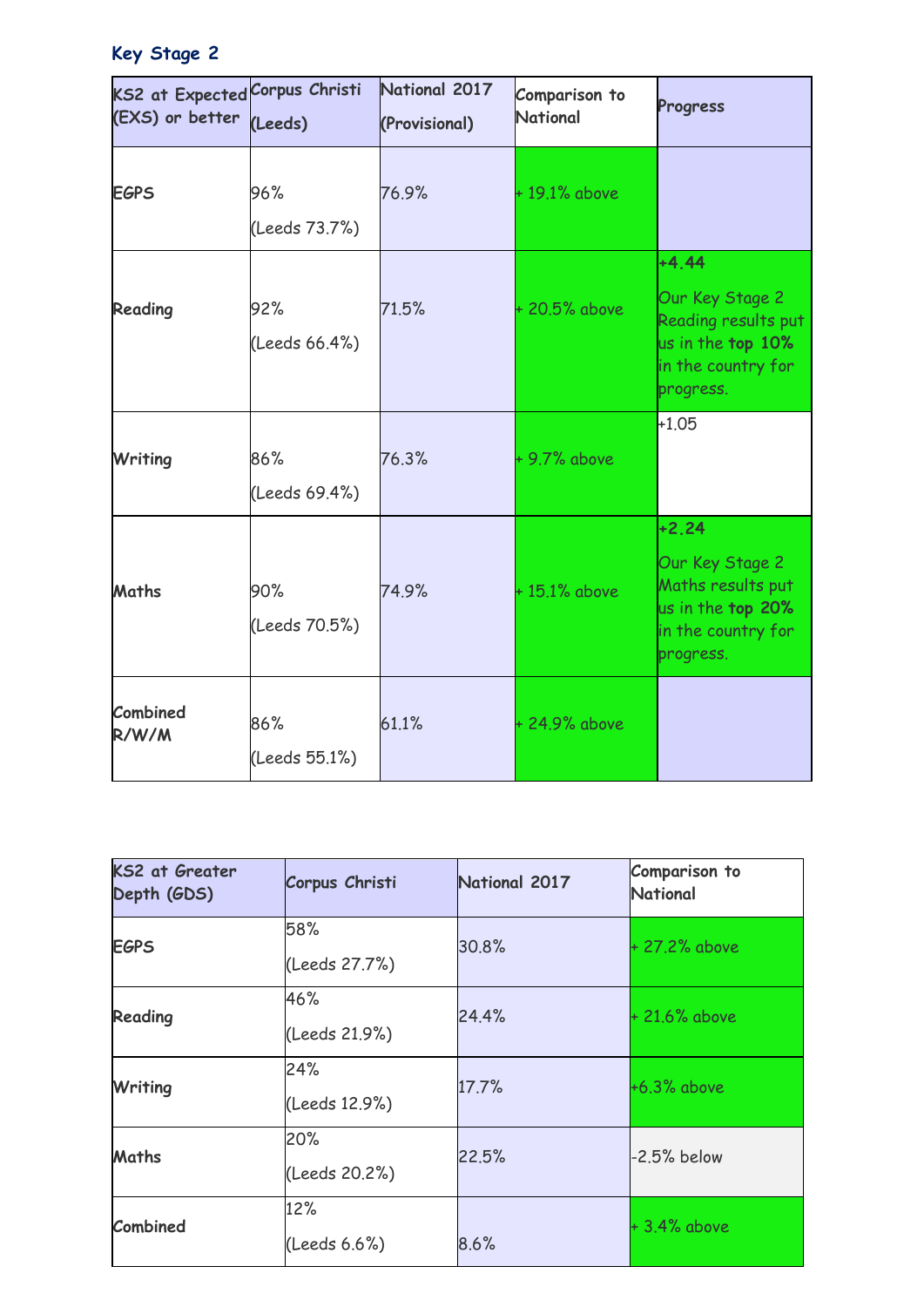## **Key Stage 2**

| KS2 at Expected Corpus Christi<br>(EXS) or better | (Leeds)              | National 2017<br>(Provisional) | Comparison to<br><b>National</b> | Progress                                                                                                  |
|---------------------------------------------------|----------------------|--------------------------------|----------------------------------|-----------------------------------------------------------------------------------------------------------|
| <b>EGPS</b>                                       | 96%<br>(Leeds 73.7%) | 76.9%                          | $+19.1\%$ above                  |                                                                                                           |
| Reading                                           | 92%<br>(Leeds 66.4%) | 71.5%                          | +20.5% above                     | $+4.44$<br>Our Key Stage 2<br>Reading results put<br>us in the top 10%<br>in the country for<br>progress. |
| Writing                                           | 86%<br>(Leeds 69.4%) | 76.3%                          | $+9.7%$ above                    | $+1.05$                                                                                                   |
| Maths                                             | 90%<br>(Leeds 70.5%) | 74.9%                          | $+15.1\%$ above                  | $+2.24$<br>Our Key Stage 2<br>Maths results put<br>us in the top 20%<br>in the country for<br>progress.   |
| Combined<br>R/W/M                                 | 86%<br>(Leeds 55.1%) | 61.1%                          | +24.9% above                     |                                                                                                           |

| <b>KS2 at Greater</b><br>Depth (GDS) | Corpus Christi       | National 2017 | Comparison to<br>National |
|--------------------------------------|----------------------|---------------|---------------------------|
| <b>EGPS</b>                          | 58%<br>(Leeds 27.7%) | 30.8%         | + 27.2% above             |
| Reading                              | 46%<br>(Leeds 21.9%) | 24.4%         | + 21.6% above             |
| Writing                              | 24%<br>(Leeds 12.9%) | 17.7%         | $+6.3%$ above             |
| <b>Maths</b>                         | 20%<br>(Leeds 20.2%) | 22.5%         | $-2.5%$ below             |
| Combined                             | 12%<br>(Leeds 6.6%)  | 8.6%          | $+3.4\%$ above            |